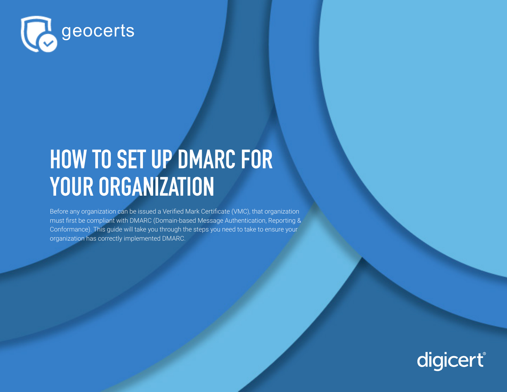

# **HOW TO SET UP DMARC FOR YOUR ORGANIZATION**

Before any organization can be issued a Verified Mark Certificate (VMC), that organization must first be compliant with DMARC (Domain-based Message Authentication, Reporting & Conformance). This guide will take you through the steps you need to take to ensure your organization has correctly implemented DMARC.

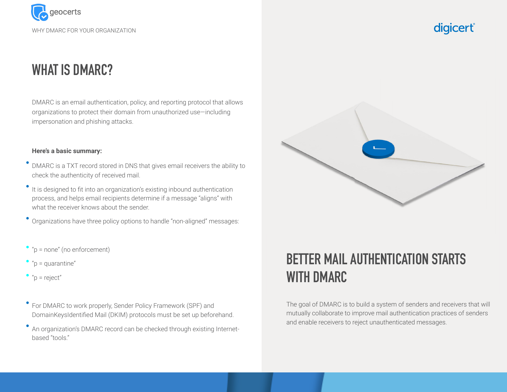

### **WHAT IS DMARC?**

DMARC is an email authentication, policy, and reporting protocol that allows organizations to protect their domain from unauthorized use—including impersonation and phishing attacks.

#### **Here's a basic summary:**

- DMARC is a TXT record stored in DNS that gives email receivers the ability to check the authenticity of received mail.
- It is designed to fit into an organization's existing inbound authentication process, and helps email recipients determine if a message "aligns" with what the receiver knows about the sender.

Organizations have three policy options to handle "non-aligned" messages:

- = none" (no enforcement)
- "p = quarantine"
- "p = reject"
- For DMARC to work properly, Sender Policy Framework (SPF) and DomainKeysIdentified Mail (DKIM) protocols must be set up beforehand.
- An organization's DMARC record can be checked through existing Internetbased "tools."



### **BETTER MAIL AUTHENTICATION STARTS WITH DMARC**

The goal of DMARC is to build a system of senders and receivers that will mutually collaborate to improve mail authentication practices of senders and enable receivers to reject unauthenticated messages.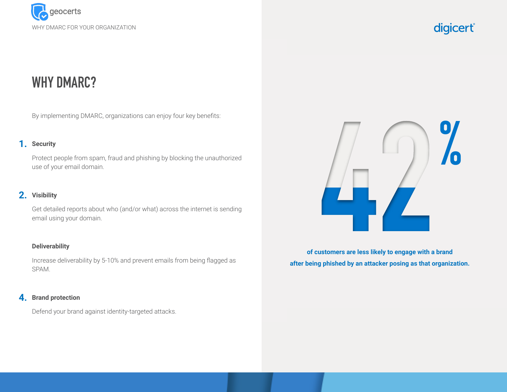

### **WHY DMARC?**

By implementing DMARC, organizations can enjoy four key benefits:

#### 1. Security

Protect people from spam, fraud and phishing by blocking the unauthorized use of your email domain.

#### **Visibility 2.**

Get detailed reports about who (and/or what) across the internet is sending email using your domain.

#### **Deliverability**

Increase deliverability by 5-10% and prevent emails from being flagged as SPAM.

#### **Brand protection 4.**

Defend your brand against identity-targeted attacks.



**of customers are less likely to engage with a brand after being phished by an attacker posing as that organization.**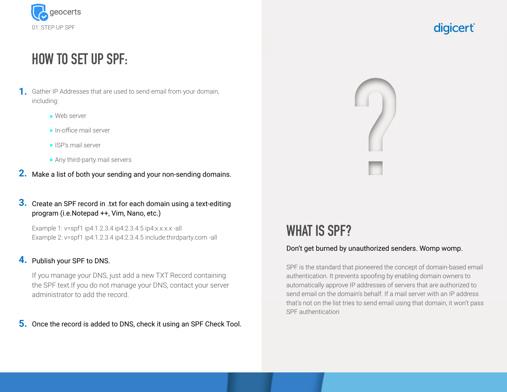

### **HOW TO SET UP SPF:**

- 1. Gather IP Addresses that are used to send email from your domain, including:
	- Web server
	- **·** In-office mail server
	- ISP's mail server
	- Any third-party mail servers
- Make a list of both your sending and your non-sending domains. **2.**

#### **3.** Create an SPF record in .txt for each domain using a text-editing program (i.e.Notepad ++, Vim, Nano, etc.)

Example 1: v=spf1 ip4:1.2.3.4 ip4:2.3.4.5 ip4:x.x.x.x -all Example 2: v=spf1 ip4:1.2.3.4 ip4:2.3.4.5 include:thirdparty.com -all

#### **4.** Publish your SPF to DNS.

If you manage your DNS, just add a new TXT Record containing the SPF text.If you do not manage your DNS, contact your server administrator to add the record.

**5.** Once the record is added to DNS, check it using an SPF Check Tool.



### **WHAT IS SPF?**

#### Don't get burned by unauthorized senders. Womp womp.

SPF is the standard that pioneered the concept of domain-based email authentication. It prevents spoofing by enabling domain owners to automatically approve IP addresses of servers that are authorized to send email on the domain's behalf. If a mail server with an IP address that's not on the list tries to send email using that domain, it won't pass SPF authentication

### digicert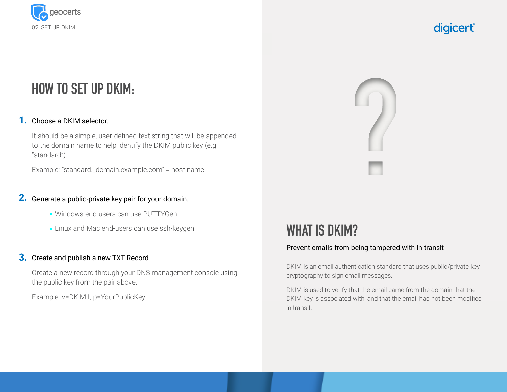

### **HOW TO SET UP DKIM:**

#### 1. Choose a DKIM selector.

It should be a simple, user-defined text string that will be appended to the domain name to help identify the DKIM public key (e.g. "standard").

Example: "standard.\_domain.example.com" = host name

#### 2. Generate a public-private key pair for your domain.

- Windows end-users can use PUTTYGen
- Linux and Mac end-users can use ssh-keygen

#### **3.** Create and publish a new TXT Record

Create a new record through your DNS management console using the public key from the pair above.

Example: v=DKIM1; p=YourPublicKey



### **WHAT IS DKIM?**

#### Prevent emails from being tampered with in transit

DKIM is an email authentication standard that uses public/private key cryptography to sign email messages.

DKIM is used to verify that the email came from the domain that the DKIM key is associated with, and that the email had not been modified in transit.

### digicert®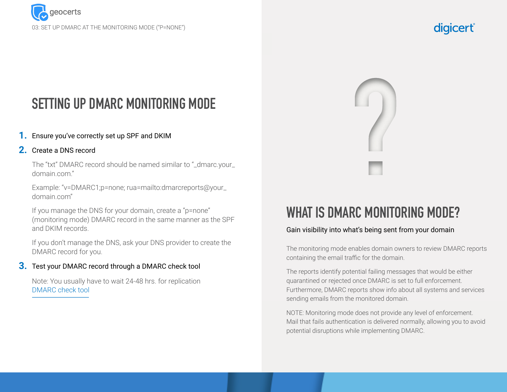

### **SETTING UP DMARC MONITORING MODE**

#### Ensure you've correctly set up SPF and DKIM **1.**

#### 2. Create a DNS record

The "txt" DMARC record should be named similar to "\_dmarc.your\_ domain.com."

Example: "v=DMARC1;p=none; rua=mailto:dmarcreports@your\_ domain.com"

If you manage the DNS for your domain, create a "p=none" (monitoring mode) DMARC record in the same manner as the SPF and DKIM records.

If you don't manage the DNS, ask your DNS provider to create the DMARC record for you.

#### **3.** Test your DMARC record through a DMARC check tool

Note: You usually have to wait 24-48 hrs. for replication DMARC check tool

#### digicert



### **WHAT IS DMARC MONITORING MODE?**

#### Gain visibility into what's being sent from your domain

The monitoring mode enables domain owners to review DMARC reports containing the email traffic for the domain.

The reports identify potential failing messages that would be either quarantined or rejected once DMARC is set to full enforcement. Furthermore, DMARC reports show info about all systems and services sending emails from the monitored domain.

NOTE: Monitoring mode does not provide any level of enforcement. Mail that fails authentication is delivered normally, allowing you to avoid potential disruptions while implementing DMARC.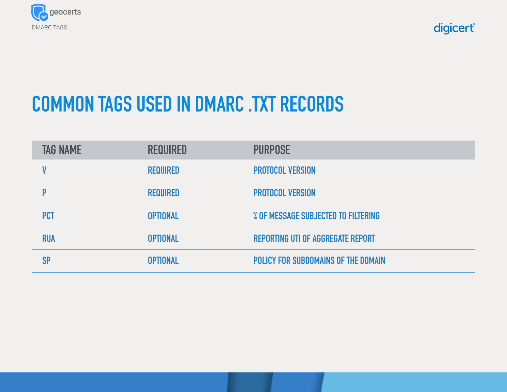

# **COMMON TAGS USED IN DMARC .TXT RECORDS**

| <b>TAG NAME</b> | <b>REQUIRED</b> | <b>PURPOSE</b>                           |
|-----------------|-----------------|------------------------------------------|
|                 | <b>REQUIRED</b> | <b>PROTOCOL VERSION</b>                  |
|                 | <b>REQUIRED</b> | <b>PROTOCOL VERSION</b>                  |
| <b>PCT</b>      | <b>OPTIONAL</b> | % OF MESSAGE SUBJECTED TO FILTERING      |
| <b>RUA</b>      | <b>OPTIONAL</b> | <b>REPORTING UTI OF AGGREGATE REPORT</b> |
| SP              | <b>OPTIONAL</b> | POLICY FOR SUBDOMAINS OF THE DOMAIN      |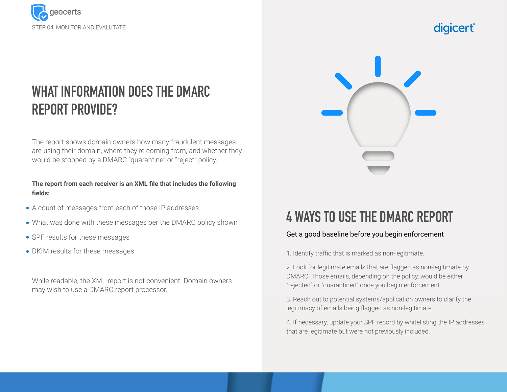

## **WHAT INFORMATION DOES THE DMARC REPORT PROVIDE?**

The report shows domain owners how many fraudulent messages are using their domain, where they're coming from, and whether they would be stopped by a DMARC "quarantine" or "reject" policy.

#### **The report from each receiver is an XML file that includes the following fields:**

- A count of messages from each of those IP addresses
- What was done with these messages per the DMARC policy shown
- SPF results for these messages
- DKIM results for these messages

While readable, the XML report is not convenient. Domain owners may wish to use a DMARC report processor.



### **4 WAYS TO USE THE DMARC REPORT**

#### Get a good baseline before you begin enforcement

1. Identify traffic that is marked as non-legitimate.

2. Look for legitimate emails that are flagged as non-legitimate by DMARC. Those emails, depending on the policy, would be either "rejected" or "quarantined" once you begin enforcement.

3. Reach out to potential systems/application owners to clarify the legitimacy of emails being flagged as non-legitimate.

4. If necessary, update your SPF record by whitelisting the IP addresses that are legitimate but were not previously included.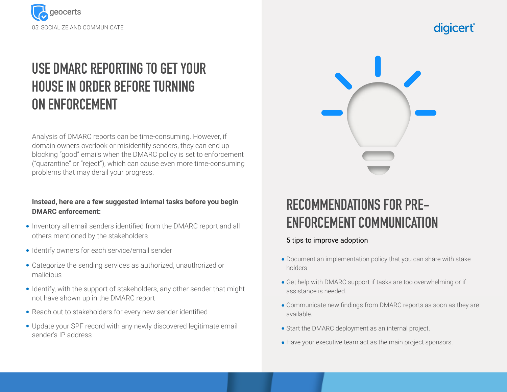



## **USE DMARC REPORTING TO GET YOUR HOUSE IN ORDER BEFORE TURNING ON ENFORCEMENT**

Analysis of DMARC reports can be time-consuming. However, if domain owners overlook or misidentify senders, they can end up blocking "good" emails when the DMARC policy is set to enforcement ("quarantine" or "reject"), which can cause even more time-consuming problems that may derail your progress.

#### **Instead, here are a few suggested internal tasks before you begin DMARC enforcement:**

- Inventory all email senders identified from the DMARC report and all others mentioned by the stakeholders
- Identify owners for each service/email sender
- Categorize the sending services as authorized, unauthorized or malicious
- Identify, with the support of stakeholders, any other sender that might not have shown up in the DMARC report
- Reach out to stakeholders for every new sender identified
- Update your SPF record with any newly discovered legitimate email sender's IP address

### **RECOMMENDATIONS FOR PRE-ENFORCEMENT COMMUNICATION**

#### 5 tips to improve adoption

- Document an implementation policy that you can share with stake holders
- Get help with DMARC support if tasks are too overwhelming or if assistance is needed.
- Communicate new findings from DMARC reports as soon as they are available.
- Start the DMARC deployment as an internal project.
- Have your executive team act as the main project sponsors.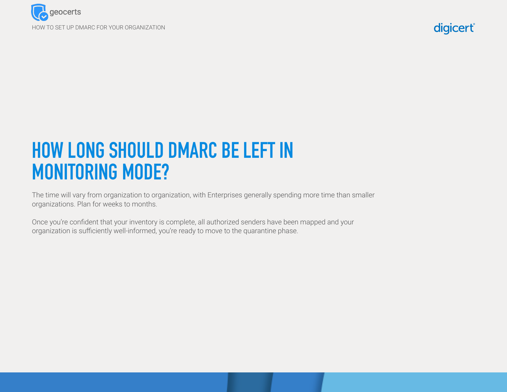

# **HOW LONG SHOULD DMARC BE LEFT IN MONITORING MODE?**

The time will vary from organization to organization, with Enterprises generally spending more time than smaller organizations. Plan for weeks to months.

Once you're confident that your inventory is complete, all authorized senders have been mapped and your organization is sufficiently well-informed, you're ready to move to the quarantine phase.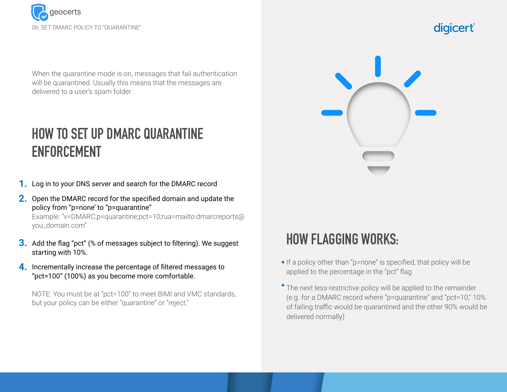

When the quarantine mode is on, messages that fail authentication will be quarantined. Usually this means that the messages are delivered to a user's spam folder.

### **HOW TO SET UP DMARC QUARANTINE ENFORCEMENT**

- 1. Log in to your DNS server and search for the DMARC record
- **2.** Open the DMARC record for the specified domain and update the policy from "p=none' to "p=quarantine"

Example: "v=DMARC;p=quarantine;pct=10;rua=mailto:dmarcreports@ you\_domain.com"

- **3.** Add the flag "pct" (% of messages subject to filtering). We suggest starting with 10%.
- **4.** Incrementally increase the percentage of filtered messages to "pct=100" (100%) as you become more comfortable.

NOTE: You must be at "pct=100" to meet BIMI and VMC standards, but your policy can be either "quarantine" or "reject."



### **HOW FLAGGING WORKS:**

- If a policy other than "p=none" is specified, that policy will be applied to the percentage in the "pct" flag
- The next less-restrictive policy will be applied to the remainder (e.g. for a DMARC record where "p=quarantine" and "pct=10," 10% of failing traffic would be quarantined and the other 90% would be delivered normally)

### digicert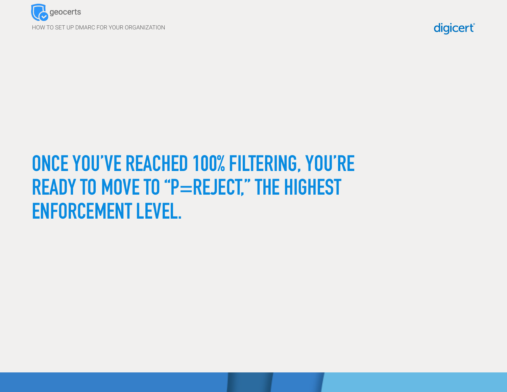



# **ONCE YOU'VE REACHED 100% FILTERING, YOU'RE READY TO MOVE TO "P=REJECT," THE HIGHEST ENFORCEMENT LEVEL.**